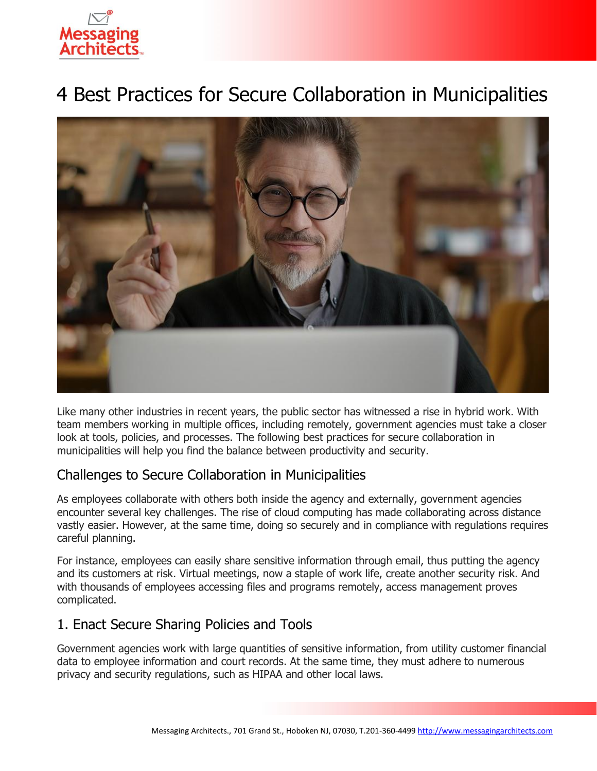# 4 Best Practices for Secure Collaboration in Municipalities



Like many other industries in recent years, the public sector has witnessed a rise in hybrid work. With team members working in multiple offices, including remotely, government agencies must take a closer look at tools, policies, and processes. The following best practices for secure collaboration in municipalities will help you find the balance between productivity and security.

#### Challenges to Secure Collaboration in Municipalities

As employees collaborate with others both inside the agency and externally, government agencies encounter several key challenges. The rise of cloud computing has made collaborating across distance vastly easier. However, at the same time, doing so securely and in compliance with regulations requires careful planning.

For instance, employees can easily share sensitive information through email, thus putting the agency and its customers at risk. Virtual meetings, now a staple of work life, create another security risk. And with thousands of employees accessing files and programs remotely, access management proves complicated.

## 1. Enact Secure Sharing Policies and Tools

Government agencies work with large quantities of sensitive information, from utility customer financial data to employee information and court records. At the same time, they must adhere to numerous privacy and security regulations, such as HIPAA and other local laws.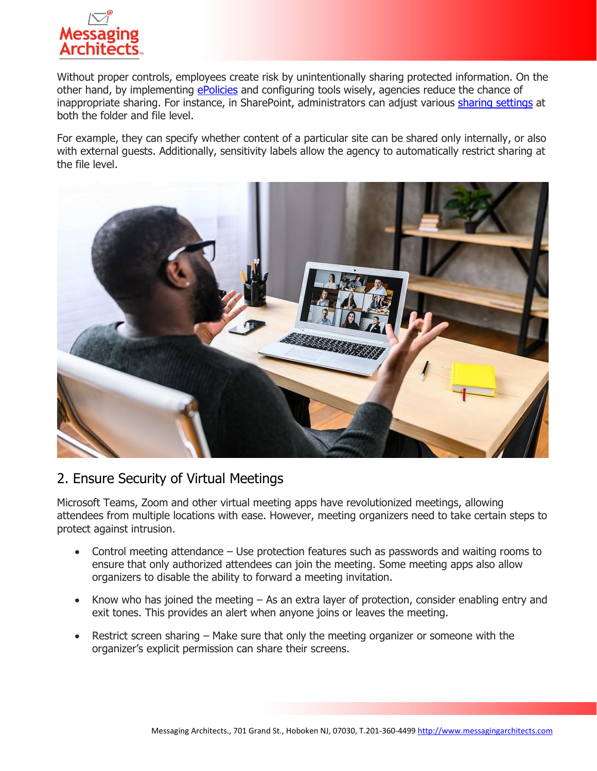

Without proper controls, employees create risk by unintentionally sharing protected information. On the other hand, by implementing [ePolicies](https://messagingarchitects.com/epolicy-review-consulting/) and configuring tools wisely, agencies reduce the chance of inappropriate sharing. For instance, in SharePoint, administrators can adjust various [sharing settings](https://messagingarchitects.com/file-sharing-best-practices/) at both the folder and file level.

For example, they can specify whether content of a particular site can be shared only internally, or also with external guests. Additionally, sensitivity labels allow the agency to automatically restrict sharing at the file level.



#### 2. Ensure Security of Virtual Meetings

Microsoft Teams, Zoom and other virtual meeting apps have revolutionized meetings, allowing attendees from multiple locations with ease. However, meeting organizers need to take certain steps to protect against intrusion.

- Control meeting attendance Use protection features such as passwords and waiting rooms to ensure that only authorized attendees can join the meeting. Some meeting apps also allow organizers to disable the ability to forward a meeting invitation.
- Know who has joined the meeting As an extra layer of protection, consider enabling entry and exit tones. This provides an alert when anyone joins or leaves the meeting.
- Restrict screen sharing Make sure that only the meeting organizer or someone with the organizer's explicit permission can share their screens.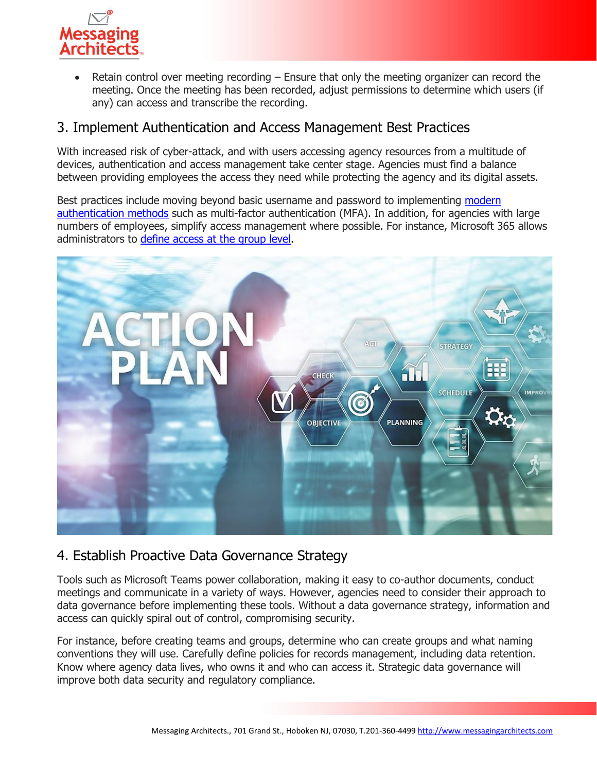

Retain control over meeting recording  $-$  Ensure that only the meeting organizer can record the meeting. Once the meeting has been recorded, adjust permissions to determine which users (if any) can access and transcribe the recording.

#### 3. Implement Authentication and Access Management Best Practices

With increased risk of cyber-attack, and with users accessing agency resources from a multitude of devices, authentication and access management take center stage. Agencies must find a balance between providing employees the access they need while protecting the agency and its digital assets.

Best practices include moving beyond basic username and password to implementing [modern](https://www.emazzanti.net/modern-authentication/)  [authentication methods](https://www.emazzanti.net/modern-authentication/) such as multi-factor authentication (MFA). In addition, for agencies with large numbers of employees, simplify access management where possible. For instance, Microsoft 365 allows administrators to [define access](https://messagingarchitects.com/microsoft-365-groups-tips/) at the group level.



#### 4. Establish Proactive Data Governance Strategy

Tools such as Microsoft Teams power collaboration, making it easy to co-author documents, conduct meetings and communicate in a variety of ways. However, agencies need to consider their approach to data governance before implementing these tools. Without a data governance strategy, information and access can quickly spiral out of control, compromising security.

For instance, before creating teams and groups, determine who can create groups and what naming conventions they will use. Carefully define policies for records management, including data retention. Know where agency data lives, who owns it and who can access it. Strategic data governance will improve both data security and regulatory compliance.